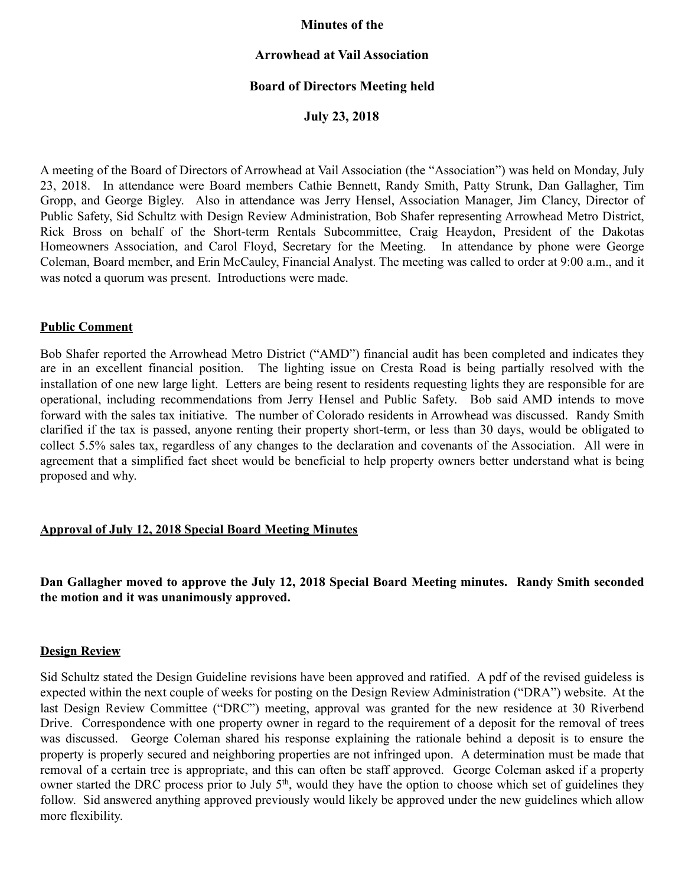## **Minutes of the**

## **Arrowhead at Vail Association**

# **Board of Directors Meeting held**

**July 23, 2018** 

A meeting of the Board of Directors of Arrowhead at Vail Association (the "Association") was held on Monday, July 23, 2018. In attendance were Board members Cathie Bennett, Randy Smith, Patty Strunk, Dan Gallagher, Tim Gropp, and George Bigley. Also in attendance was Jerry Hensel, Association Manager, Jim Clancy, Director of Public Safety, Sid Schultz with Design Review Administration, Bob Shafer representing Arrowhead Metro District, Rick Bross on behalf of the Short-term Rentals Subcommittee, Craig Heaydon, President of the Dakotas Homeowners Association, and Carol Floyd, Secretary for the Meeting. In attendance by phone were George Coleman, Board member, and Erin McCauley, Financial Analyst. The meeting was called to order at 9:00 a.m., and it was noted a quorum was present. Introductions were made.

#### **Public Comment**

Bob Shafer reported the Arrowhead Metro District ("AMD") financial audit has been completed and indicates they are in an excellent financial position. The lighting issue on Cresta Road is being partially resolved with the installation of one new large light. Letters are being resent to residents requesting lights they are responsible for are operational, including recommendations from Jerry Hensel and Public Safety. Bob said AMD intends to move forward with the sales tax initiative. The number of Colorado residents in Arrowhead was discussed. Randy Smith clarified if the tax is passed, anyone renting their property short-term, or less than 30 days, would be obligated to collect 5.5% sales tax, regardless of any changes to the declaration and covenants of the Association. All were in agreement that a simplified fact sheet would be beneficial to help property owners better understand what is being proposed and why.

# **Approval of July 12, 2018 Special Board Meeting Minutes**

# **Dan Gallagher moved to approve the July 12, 2018 Special Board Meeting minutes. Randy Smith seconded the motion and it was unanimously approved.**

#### **Design Review**

Sid Schultz stated the Design Guideline revisions have been approved and ratified. A pdf of the revised guideless is expected within the next couple of weeks for posting on the Design Review Administration ("DRA") website. At the last Design Review Committee ("DRC") meeting, approval was granted for the new residence at 30 Riverbend Drive. Correspondence with one property owner in regard to the requirement of a deposit for the removal of trees was discussed. George Coleman shared his response explaining the rationale behind a deposit is to ensure the property is properly secured and neighboring properties are not infringed upon. A determination must be made that removal of a certain tree is appropriate, and this can often be staff approved. George Coleman asked if a property owner started the DRC process prior to July 5<sup>th</sup>, would they have the option to choose which set of guidelines they follow. Sid answered anything approved previously would likely be approved under the new guidelines which allow more flexibility.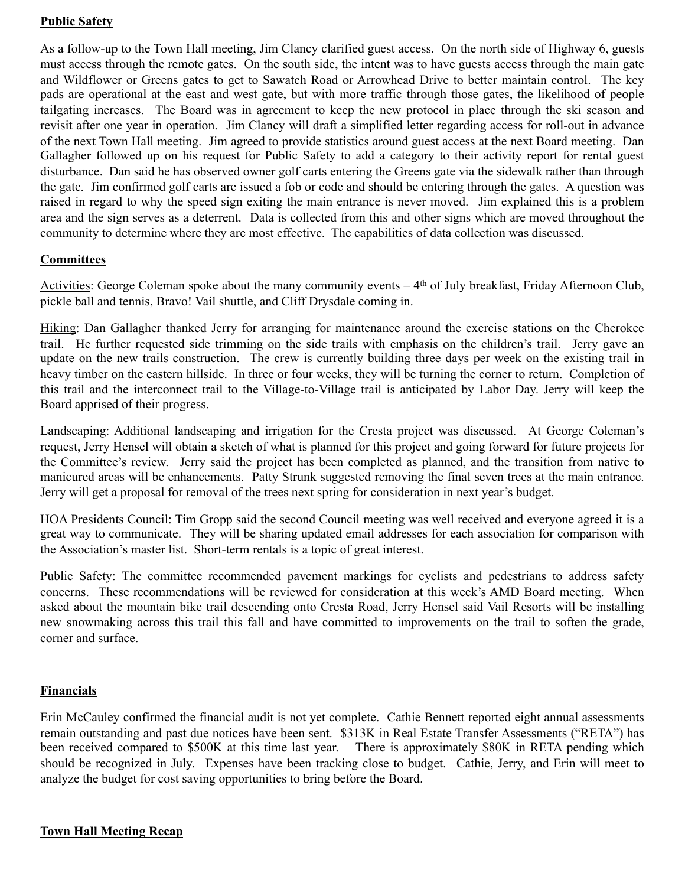# **Public Safety**

As a follow-up to the Town Hall meeting, Jim Clancy clarified guest access. On the north side of Highway 6, guests must access through the remote gates. On the south side, the intent was to have guests access through the main gate and Wildflower or Greens gates to get to Sawatch Road or Arrowhead Drive to better maintain control. The key pads are operational at the east and west gate, but with more traffic through those gates, the likelihood of people tailgating increases. The Board was in agreement to keep the new protocol in place through the ski season and revisit after one year in operation. Jim Clancy will draft a simplified letter regarding access for roll-out in advance of the next Town Hall meeting. Jim agreed to provide statistics around guest access at the next Board meeting. Dan Gallagher followed up on his request for Public Safety to add a category to their activity report for rental guest disturbance. Dan said he has observed owner golf carts entering the Greens gate via the sidewalk rather than through the gate. Jim confirmed golf carts are issued a fob or code and should be entering through the gates. A question was raised in regard to why the speed sign exiting the main entrance is never moved. Jim explained this is a problem area and the sign serves as a deterrent. Data is collected from this and other signs which are moved throughout the community to determine where they are most effective. The capabilities of data collection was discussed.

# **Committees**

Activities: George Coleman spoke about the many community events  $-4<sup>th</sup>$  of July breakfast, Friday Afternoon Club, pickle ball and tennis, Bravo! Vail shuttle, and Cliff Drysdale coming in.

Hiking: Dan Gallagher thanked Jerry for arranging for maintenance around the exercise stations on the Cherokee trail. He further requested side trimming on the side trails with emphasis on the children's trail. Jerry gave an update on the new trails construction. The crew is currently building three days per week on the existing trail in heavy timber on the eastern hillside. In three or four weeks, they will be turning the corner to return. Completion of this trail and the interconnect trail to the Village-to-Village trail is anticipated by Labor Day. Jerry will keep the Board apprised of their progress.

Landscaping: Additional landscaping and irrigation for the Cresta project was discussed. At George Coleman's request, Jerry Hensel will obtain a sketch of what is planned for this project and going forward for future projects for the Committee's review. Jerry said the project has been completed as planned, and the transition from native to manicured areas will be enhancements. Patty Strunk suggested removing the final seven trees at the main entrance. Jerry will get a proposal for removal of the trees next spring for consideration in next year's budget.

HOA Presidents Council: Tim Gropp said the second Council meeting was well received and everyone agreed it is a great way to communicate. They will be sharing updated email addresses for each association for comparison with the Association's master list. Short-term rentals is a topic of great interest.

Public Safety: The committee recommended pavement markings for cyclists and pedestrians to address safety concerns. These recommendations will be reviewed for consideration at this week's AMD Board meeting. When asked about the mountain bike trail descending onto Cresta Road, Jerry Hensel said Vail Resorts will be installing new snowmaking across this trail this fall and have committed to improvements on the trail to soften the grade, corner and surface.

# **Financials**

Erin McCauley confirmed the financial audit is not yet complete. Cathie Bennett reported eight annual assessments remain outstanding and past due notices have been sent. \$313K in Real Estate Transfer Assessments ("RETA") has been received compared to \$500K at this time last year. There is approximately \$80K in RETA pending which should be recognized in July. Expenses have been tracking close to budget. Cathie, Jerry, and Erin will meet to analyze the budget for cost saving opportunities to bring before the Board.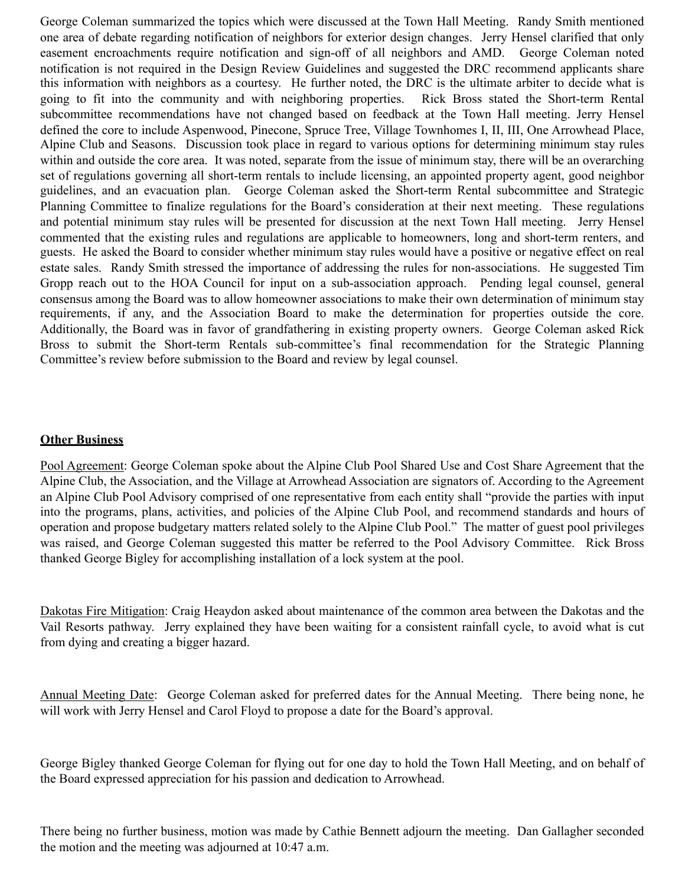George Coleman summarized the topics which were discussed at the Town Hall Meeting. Randy Smith mentioned one area of debate regarding notification of neighbors for exterior design changes. Jerry Hensel clarified that only easement encroachments require notification and sign-off of all neighbors and AMD. George Coleman noted notification is not required in the Design Review Guidelines and suggested the DRC recommend applicants share this information with neighbors as a courtesy. He further noted, the DRC is the ultimate arbiter to decide what is going to fit into the community and with neighboring properties. Rick Bross stated the Short-term Rental subcommittee recommendations have not changed based on feedback at the Town Hall meeting. Jerry Hensel defined the core to include Aspenwood, Pinecone, Spruce Tree, Village Townhomes I, II, III, One Arrowhead Place, Alpine Club and Seasons. Discussion took place in regard to various options for determining minimum stay rules within and outside the core area. It was noted, separate from the issue of minimum stay, there will be an overarching set of regulations governing all short-term rentals to include licensing, an appointed property agent, good neighbor guidelines, and an evacuation plan. George Coleman asked the Short-term Rental subcommittee and Strategic Planning Committee to finalize regulations for the Board's consideration at their next meeting. These regulations and potential minimum stay rules will be presented for discussion at the next Town Hall meeting. Jerry Hensel commented that the existing rules and regulations are applicable to homeowners, long and short-term renters, and guests. He asked the Board to consider whether minimum stay rules would have a positive or negative effect on real estate sales. Randy Smith stressed the importance of addressing the rules for non-associations. He suggested Tim Gropp reach out to the HOA Council for input on a sub-association approach. Pending legal counsel, general consensus among the Board was to allow homeowner associations to make their own determination of minimum stay requirements, if any, and the Association Board to make the determination for properties outside the core. Additionally, the Board was in favor of grandfathering in existing property owners. George Coleman asked Rick Bross to submit the Short-term Rentals sub-committee's final recommendation for the Strategic Planning Committee's review before submission to the Board and review by legal counsel.

## **Other Business**

Pool Agreement: George Coleman spoke about the Alpine Club Pool Shared Use and Cost Share Agreement that the Alpine Club, the Association, and the Village at Arrowhead Association are signators of. According to the Agreement an Alpine Club Pool Advisory comprised of one representative from each entity shall "provide the parties with input into the programs, plans, activities, and policies of the Alpine Club Pool, and recommend standards and hours of operation and propose budgetary matters related solely to the Alpine Club Pool." The matter of guest pool privileges was raised, and George Coleman suggested this matter be referred to the Pool Advisory Committee. Rick Bross thanked George Bigley for accomplishing installation of a lock system at the pool.

Dakotas Fire Mitigation: Craig Heaydon asked about maintenance of the common area between the Dakotas and the Vail Resorts pathway. Jerry explained they have been waiting for a consistent rainfall cycle, to avoid what is cut from dying and creating a bigger hazard.

Annual Meeting Date: George Coleman asked for preferred dates for the Annual Meeting. There being none, he will work with Jerry Hensel and Carol Floyd to propose a date for the Board's approval.

George Bigley thanked George Coleman for flying out for one day to hold the Town Hall Meeting, and on behalf of the Board expressed appreciation for his passion and dedication to Arrowhead.

There being no further business, motion was made by Cathie Bennett adjourn the meeting. Dan Gallagher seconded the motion and the meeting was adjourned at 10:47 a.m.